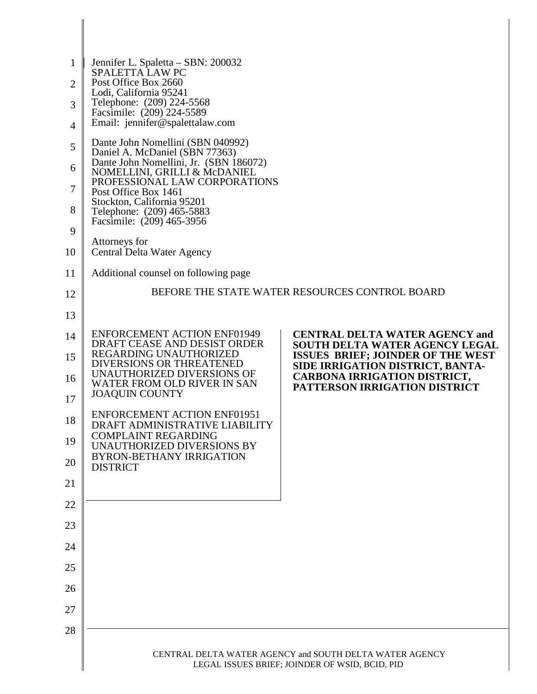| $\mathbf{1}$   | Jennifer L. Spaletta – SBN: 200032                                       |                                                                                |
|----------------|--------------------------------------------------------------------------|--------------------------------------------------------------------------------|
| 2              | <b>SPALETTA LAW PC</b><br>Post Office Box 2660                           |                                                                                |
| 3              | Lodi, California 95241<br>Telephone: (209) 224-5568                      |                                                                                |
| $\overline{4}$ | Facsimile: (209) 224-5589<br>Email: jennifer@spalettalaw.com             |                                                                                |
| 5              | Dante John Nomellini (SBN 040992)                                        |                                                                                |
| 6              | Daniel A. McDaniel (SBN 77363)<br>Dante John Nomellini, Jr. (SBN 186072) |                                                                                |
| 7              | NOMELLINI, GRILLI & McDANIEL<br>PROFESSIONAL LAW CORPORATIONS            |                                                                                |
|                | Post Office Box 1461<br>Stockton, California 95201                       |                                                                                |
| 8              | Telephone: (209) 465-5883<br>Facsimile: (209) 465-3956                   |                                                                                |
| 9              | Attorneys for                                                            |                                                                                |
| 10             | Central Delta Water Agency                                               |                                                                                |
| 11             | Additional counsel on following page                                     |                                                                                |
| 12             |                                                                          | BEFORE THE STATE WATER RESOURCES CONTROL BOARD                                 |
| 13             |                                                                          |                                                                                |
| 14             | <b>ENFORCEMENT ACTION ENF01949</b><br>DRAFT CEASE AND DESIST ORDER       | <b>CENTRAL DELTA WATER AGENCY and</b><br><b>SOUTH DELTA WATER AGENCY LEGAL</b> |
| 15             | REGARDING UNAUTHORIZED<br>DIVERSIONS OR THREATENED                       | <b>ISSUES BRIEF; JOINDER OF THE WEST</b><br>SIDE IRRIGATION DISTRICT, BANTA-   |
| 16             | UNAUTHORIZED DIVERSIONS OF<br>WATER FROM OLD RIVER IN SAN                | <b>CARBONA IRRIGATION DISTRICT,</b><br>PATTERSON IRRIGATION DISTRICT           |
| 17             | <b>JOAQUIN COUNTY</b>                                                    |                                                                                |
| 18             | <b>ENFORCEMENT ACTION ENF01951</b><br>DRAFT ADMINISTRATIVE LIABILITY     |                                                                                |
| 19             | <b>COMPLAINT REGARDING</b><br>UNAUTHORIZED DIVERSIONS BY                 |                                                                                |
| 20             | <b>BYRON-BETHANY IRRIGATION</b><br><b>DISTRICT</b>                       |                                                                                |
| 21             |                                                                          |                                                                                |
| 22             |                                                                          |                                                                                |
| 23             |                                                                          |                                                                                |
| 24             |                                                                          |                                                                                |
| 25             |                                                                          |                                                                                |
| 26             |                                                                          |                                                                                |
| 27             |                                                                          |                                                                                |
| 28             |                                                                          |                                                                                |
|                |                                                                          | CENTRAL DELTA WATER AGENCY and SOUTH DELTA WATER AGENCY                        |
|                |                                                                          | LEGAL ISSUES BRIEF; JOINDER OF WSID, BCID, PID                                 |

I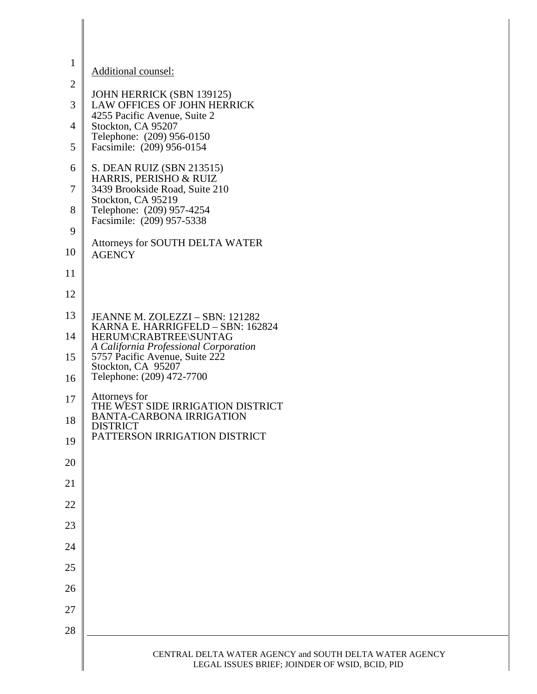| $\mathbf{1}$   | Additional counsel:                                                            |
|----------------|--------------------------------------------------------------------------------|
| $\overline{2}$ |                                                                                |
| 3              | JOHN HERRICK (SBN 139125)<br>LAW OFFICES OF JOHN HERRICK                       |
| 4              | 4255 Pacific Avenue, Suite 2<br>Stockton, CA 95207                             |
| 5              | Telephone: (209) 956-0150<br>Facsimile: (209) 956-0154                         |
| 6              | S. DEAN RUIZ (SBN 213515)                                                      |
| $\tau$         | HARRIS, PERISHO & RUIZ<br>3439 Brookside Road, Suite 210<br>Stockton, CA 95219 |
| 8              | Telephone: (209) 957-4254<br>Facsimile: (209) 957-5338                         |
| 9              |                                                                                |
| 10             | Attorneys for SOUTH DELTA WATER<br><b>AGENCY</b>                               |
| 11             |                                                                                |
| 12             |                                                                                |
| 13             | JEANNE M. ZOLEZZI - SBN: 121282<br>KARNA E. HARRIGFELD - SBN: 162824           |
| 14             | HERUM\CRABTREE\SUNTAG<br>A California Professional Corporation                 |
| 15             | 5757 Pacific Avenue, Suite 222<br>Stockton, CA 95207                           |
| 16             | Telephone: (209) 472-7700                                                      |
| 17             | Attorneys for<br>THE WEST SIDE IRRIGATION DISTRICT                             |
| 18             | <b>BANTA-CARBONA IRRIGATION</b><br><b>DISTRICT</b>                             |
| 19             | PATTERSON IRRIGATION DISTRICT                                                  |
| 20             |                                                                                |
| 21             |                                                                                |
| 22             |                                                                                |
| 23             |                                                                                |
| 24             |                                                                                |
| 25             |                                                                                |
| 26             |                                                                                |
| 27             |                                                                                |
| 28             |                                                                                |
|                | CENTRAL DELTA WATER AGENCY and SOUTH DELTA WATER AGENCY                        |
|                | LEGAL ISSUES BRIEF; JOINDER OF WSID, BCID, PID                                 |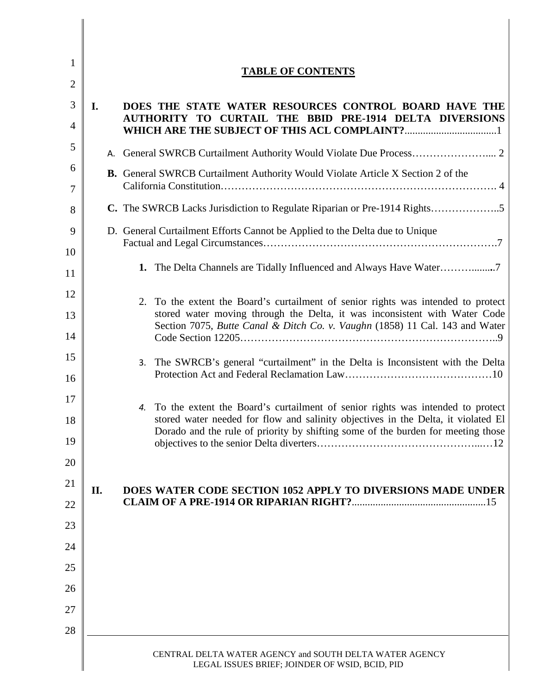| 1<br>$\overline{2}$ | <b>TABLE OF CONTENTS</b>                                                                                                                                              |
|---------------------|-----------------------------------------------------------------------------------------------------------------------------------------------------------------------|
| 3                   | DOES THE STATE WATER RESOURCES CONTROL BOARD HAVE THE<br>I.<br>AUTHORITY TO CURTAIL THE BBID PRE-1914 DELTA DIVERSIONS                                                |
| $\overline{4}$      |                                                                                                                                                                       |
| 5                   |                                                                                                                                                                       |
| 6<br>7              | <b>B.</b> General SWRCB Curtailment Authority Would Violate Article X Section 2 of the                                                                                |
| 8                   | C. The SWRCB Lacks Jurisdiction to Regulate Riparian or Pre-1914 Rights5                                                                                              |
| 9<br>10             | D. General Curtailment Efforts Cannot be Applied to the Delta due to Unique                                                                                           |
| 11                  | 1. The Delta Channels are Tidally Influenced and Always Have Water                                                                                                    |
| 12                  | 2. To the extent the Board's curtailment of senior rights was intended to protect                                                                                     |
| 13<br>14            | stored water moving through the Delta, it was inconsistent with Water Code<br>Section 7075, Butte Canal & Ditch Co. v. Vaughn (1858) 11 Cal. 143 and Water            |
| 15                  |                                                                                                                                                                       |
| 16                  | 3. The SWRCB's general "curtailment" in the Delta is Inconsistent with the Delta                                                                                      |
| 17                  | 4. To the extent the Board's curtailment of senior rights was intended to protect                                                                                     |
| 18                  | stored water needed for flow and salinity objectives in the Delta, it violated El<br>Dorado and the rule of priority by shifting some of the burden for meeting those |
| 19<br>20            |                                                                                                                                                                       |
| 21                  |                                                                                                                                                                       |
| 22                  | DOES WATER CODE SECTION 1052 APPLY TO DIVERSIONS MADE UNDER<br>П.                                                                                                     |
| 23                  |                                                                                                                                                                       |
| 24                  |                                                                                                                                                                       |
| 25                  |                                                                                                                                                                       |
| 26                  |                                                                                                                                                                       |
| 27                  |                                                                                                                                                                       |
| 28                  |                                                                                                                                                                       |
|                     | CENTRAL DELTA WATER AGENCY and SOUTH DELTA WATER AGENCY<br>LEGAL ISSUES BRIEF; JOINDER OF WSID, BCID, PID                                                             |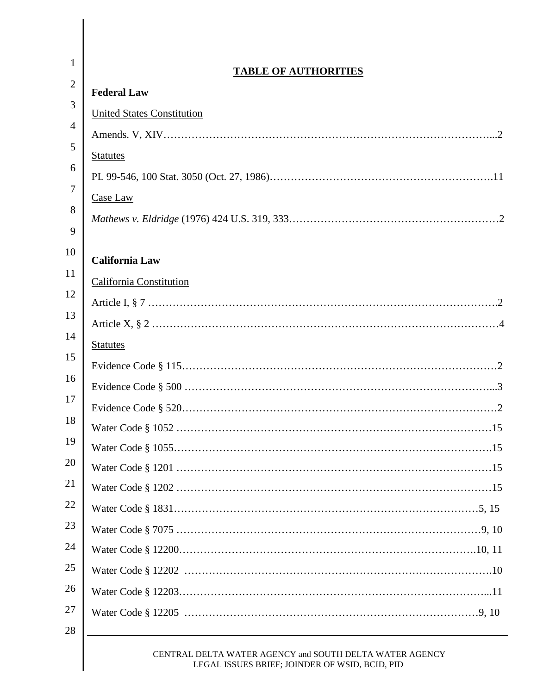| $\mathbf{1}$   | <b>TABLE OF AUTHORITIES</b>                                                                                           |
|----------------|-----------------------------------------------------------------------------------------------------------------------|
| $\overline{2}$ | <b>Federal Law</b>                                                                                                    |
| 3              | <b>United States Constitution</b>                                                                                     |
| 4              |                                                                                                                       |
| 5              | <b>Statutes</b>                                                                                                       |
| 6              |                                                                                                                       |
| 7              | Case Law                                                                                                              |
| 8              |                                                                                                                       |
| 9              |                                                                                                                       |
| 10             | <b>California Law</b>                                                                                                 |
| 11             | <b>California Constitution</b>                                                                                        |
| 12             |                                                                                                                       |
| 13             |                                                                                                                       |
| 14             | <b>Statutes</b>                                                                                                       |
| 15             |                                                                                                                       |
| 16             |                                                                                                                       |
| 17             |                                                                                                                       |
| 18             |                                                                                                                       |
| 19             |                                                                                                                       |
| 20             |                                                                                                                       |
| 21             |                                                                                                                       |
| 22             |                                                                                                                       |
| 23             |                                                                                                                       |
| 24             |                                                                                                                       |
| 25             |                                                                                                                       |
| 26             |                                                                                                                       |
| 27             |                                                                                                                       |
| 28             | <u> 1989 - Johann Stoff, deutscher Stoffen und der Stoffen und der Stoffen und der Stoffen und der Stoffen und de</u> |
|                | CENTRAL DELTA WATER AGENCY and SOUTH DELTA WATER AGENCY<br>LEGAL ISSUES BRIEF; JOINDER OF WSID, BCID, PID             |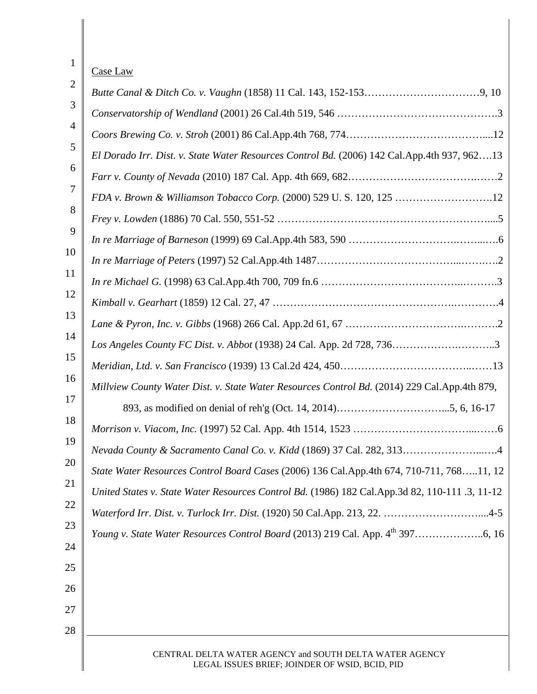| 1              | Case Law                                                                                                  |
|----------------|-----------------------------------------------------------------------------------------------------------|
| $\overline{2}$ |                                                                                                           |
| 3              |                                                                                                           |
| 4              |                                                                                                           |
| 5              | El Dorado Irr. Dist. v. State Water Resources Control Bd. (2006) 142 Cal.App.4th 937, 96213               |
| 6              |                                                                                                           |
| $\overline{7}$ | FDA v. Brown & Williamson Tobacco Corp. (2000) 529 U.S. 120, 125 12                                       |
| 8              |                                                                                                           |
| 9              |                                                                                                           |
| 10             |                                                                                                           |
| 11             |                                                                                                           |
| 12             |                                                                                                           |
| 13             |                                                                                                           |
| 14             | Los Angeles County FC Dist. v. Abbot (1938) 24 Cal. App. 2d 728, 7363                                     |
| 15             |                                                                                                           |
| 16             | Millview County Water Dist. v. State Water Resources Control Bd. (2014) 229 Cal.App.4th 879,              |
| 17             |                                                                                                           |
| 18             |                                                                                                           |
| 19             | Nevada County & Sacramento Canal Co. v. Kidd (1869) 37 Cal. 282, 313<br>. 4                               |
| 20             | State Water Resources Control Board Cases (2006) 136 Cal.App.4th 674, 710-711, 76811, 12                  |
| 21             | United States v. State Water Resources Control Bd. (1986) 182 Cal.App.3d 82, 110-111 .3, 11-12            |
| 22             | Waterford Irr. Dist. v. Turlock Irr. Dist. (1920) 50 Cal.App. 213, 22. 4-5                                |
| 23             |                                                                                                           |
| 24             |                                                                                                           |
| 25             |                                                                                                           |
| 26             |                                                                                                           |
| 27             |                                                                                                           |
| 28             |                                                                                                           |
|                | CENTRAL DELTA WATER AGENCY and SOUTH DELTA WATER AGENCY<br>LEGAL ISSUES BRIEF; JOINDER OF WSID, BCID, PID |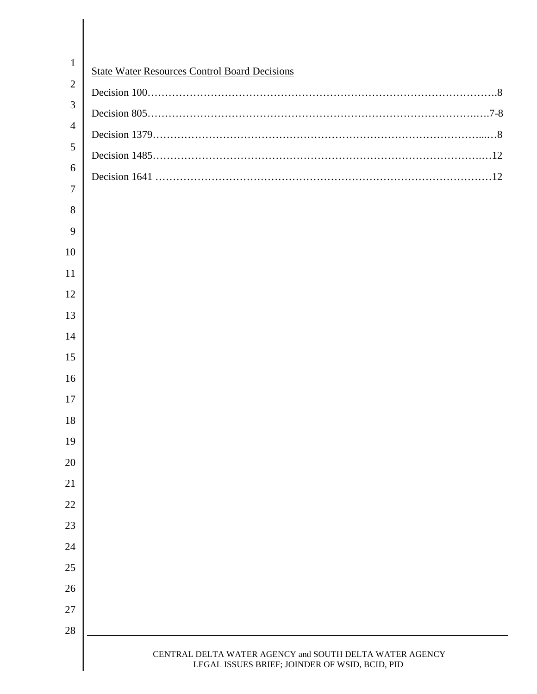| $\mathbf{1}$   | <b>State Water Resources Control Board Decisions</b>                                                      |
|----------------|-----------------------------------------------------------------------------------------------------------|
| $\overline{2}$ |                                                                                                           |
| 3              |                                                                                                           |
| $\overline{4}$ |                                                                                                           |
| 5              |                                                                                                           |
| 6              |                                                                                                           |
| $\overline{7}$ |                                                                                                           |
| 8              |                                                                                                           |
| 9              |                                                                                                           |
| 10             |                                                                                                           |
| 11             |                                                                                                           |
| 12             |                                                                                                           |
| 13             |                                                                                                           |
| 14             |                                                                                                           |
| 15             |                                                                                                           |
| 16             |                                                                                                           |
| 17             |                                                                                                           |
| 18             |                                                                                                           |
| 19             |                                                                                                           |
| 20             |                                                                                                           |
| 21             |                                                                                                           |
| 22             |                                                                                                           |
| 23             |                                                                                                           |
| 24             |                                                                                                           |
| 25             |                                                                                                           |
| 26             |                                                                                                           |
| 27             |                                                                                                           |
| 28             |                                                                                                           |
|                | CENTRAL DELTA WATER AGENCY and SOUTH DELTA WATER AGENCY<br>LEGAL ISSUES BRIEF; JOINDER OF WSID, BCID, PID |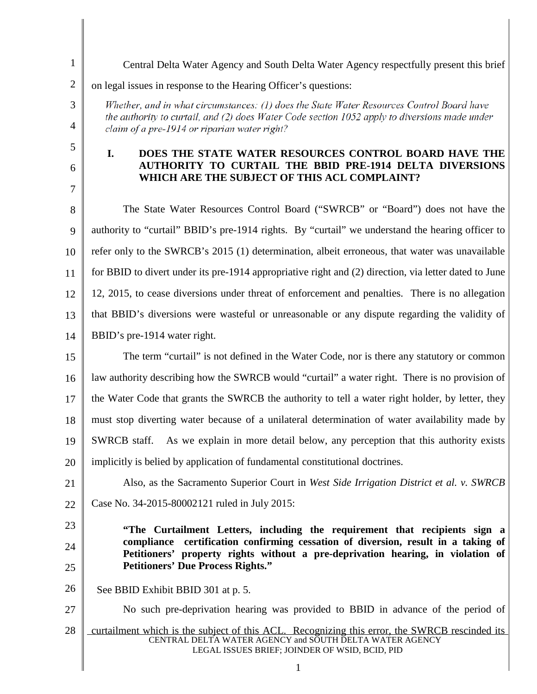1 Central Delta Water Agency and South Delta Water Agency respectfully present this brief 2 on legal issues in response to the Hearing Officer's questions: Whether, and in what circumstances: (1) does the State Water Resources Control Board have 3 the authority to curtail, and (2) does Water Code section 1052 apply to diversions made under 4 claim of a pre-1914 or riparian water right? 5 **I. DOES THE STATE WATER RESOURCES CONTROL BOARD HAVE THE AUTHORITY TO CURTAIL THE BBID PRE-1914 DELTA DIVERSIONS**  6 **WHICH ARE THE SUBJECT OF THIS ACL COMPLAINT?** 7 8 The State Water Resources Control Board ("SWRCB" or "Board") does not have the 9 authority to "curtail" BBID's pre-1914 rights. By "curtail" we understand the hearing officer to refer only to the SWRCB's 2015 (1) determination, albeit erroneous, that water was unavailable 10 for BBID to divert under its pre-1914 appropriative right and (2) direction, via letter dated to June 11 12, 2015, to cease diversions under threat of enforcement and penalties. There is no allegation 12 13 that BBID's diversions were wasteful or unreasonable or any dispute regarding the validity of 14 BBID's pre-1914 water right. The term "curtail" is not defined in the Water Code, nor is there any statutory or common 15 law authority describing how the SWRCB would "curtail" a water right.There is no provision of 16 17 the Water Code that grants the SWRCB the authority to tell a water right holder, by letter, they 18 must stop diverting water because of a unilateral determination of water availability made by 19 SWRCB staff. As we explain in more detail below, any perception that this authority exists 20 implicitly is belied by application of fundamental constitutional doctrines. Also, as the Sacramento Superior Court in *West Side Irrigation District et al. v. SWRCB* 21 22 Case No. 34-2015-80002121 ruled in July 2015: 23 **"The Curtailment Letters, including the requirement that recipients sign a compliance certification confirming cessation of diversion, result in a taking of**  24 **Petitioners' property rights without a pre-deprivation hearing, in violation of Petitioners' Due Process Rights."** 25 26 See BBID Exhibit BBID 301 at p. 5. 27 No such pre-deprivation hearing was provided to BBID in advance of the period of 28 curtailment which is the subject of this ACL. Recognizing this error, the SWRCB rescinded its CENTRAL DELTA WATER AGENCY and SOUTH DELTA WATER AGENCY LEGAL ISSUES BRIEF; JOINDER OF WSID, BCID, PID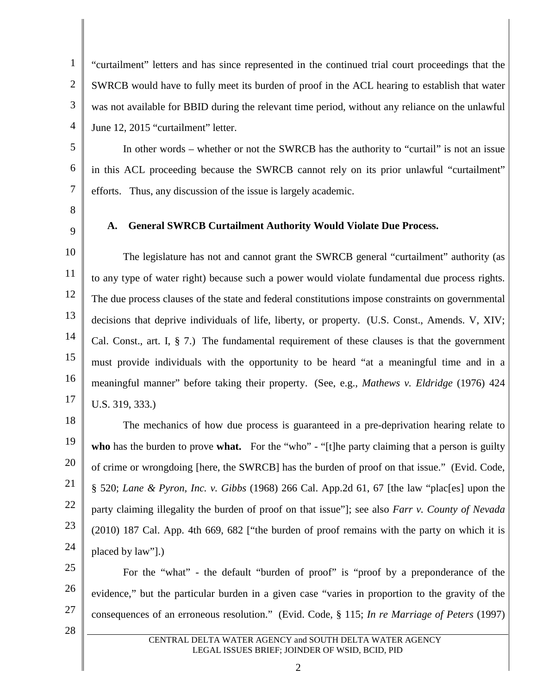2 3 4 "curtailment" letters and has since represented in the continued trial court proceedings that the SWRCB would have to fully meet its burden of proof in the ACL hearing to establish that water was not available for BBID during the relevant time period, without any reliance on the unlawful June 12, 2015 "curtailment" letter.

In other words – whether or not the SWRCB has the authority to "curtail" is not an issue in this ACL proceeding because the SWRCB cannot rely on its prior unlawful "curtailment" efforts. Thus, any discussion of the issue is largely academic.

8

5

6

7

1

9

## **A. General SWRCB Curtailment Authority Would Violate Due Process.**

10 11 12 13 14 15 16 17 The legislature has not and cannot grant the SWRCB general "curtailment" authority (as to any type of water right) because such a power would violate fundamental due process rights. The due process clauses of the state and federal constitutions impose constraints on governmental decisions that deprive individuals of life, liberty, or property. (U.S. Const., Amends. V, XIV; Cal. Const., art. I, § 7.) The fundamental requirement of these clauses is that the government must provide individuals with the opportunity to be heard "at a meaningful time and in a meaningful manner" before taking their property. (See, e.g., *Mathews v. Eldridge* (1976) 424 U.S. 319, 333.)

18 19 20 21 22 23 24 The mechanics of how due process is guaranteed in a pre-deprivation hearing relate to **who** has the burden to prove **what.** For the "who" - "[t]he party claiming that a person is guilty of crime or wrongdoing [here, the SWRCB] has the burden of proof on that issue." (Evid. Code, § 520; *Lane & Pyron, Inc. v. Gibbs* (1968) 266 Cal. App.2d 61, 67 [the law "plac[es] upon the party claiming illegality the burden of proof on that issue"]; see also *Farr v. County of Nevada* (2010) 187 Cal. App. 4th 669, 682 ["the burden of proof remains with the party on which it is placed by law"].)

25 26 27 For the "what" - the default "burden of proof" is "proof by a preponderance of the evidence," but the particular burden in a given case "varies in proportion to the gravity of the consequences of an erroneous resolution." (Evid. Code, § 115; *In re Marriage of Peters* (1997)

28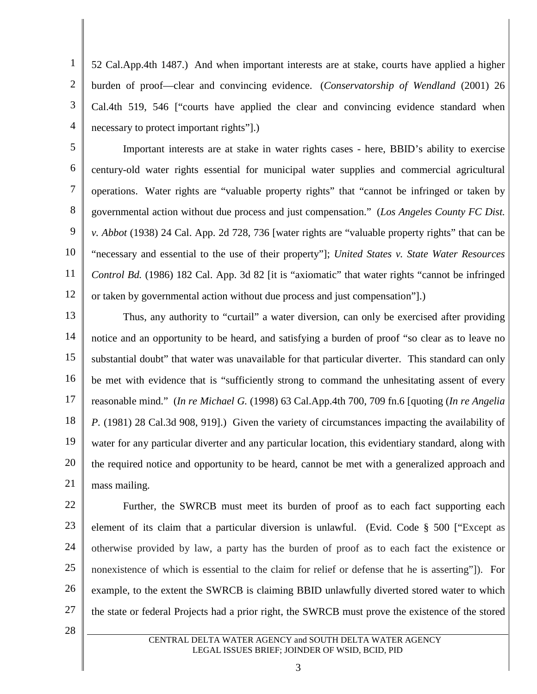1 2 3 4 52 Cal.App.4th 1487.) And when important interests are at stake, courts have applied a higher burden of proof—clear and convincing evidence. (*Conservatorship of Wendland* (2001) 26 Cal.4th 519, 546 ["courts have applied the clear and convincing evidence standard when necessary to protect important rights"].)

5 6 7 8 9 10 11 12 Important interests are at stake in water rights cases - here, BBID's ability to exercise century-old water rights essential for municipal water supplies and commercial agricultural operations. Water rights are "valuable property rights" that "cannot be infringed or taken by governmental action without due process and just compensation." (*Los Angeles County FC Dist. v. Abbot* (1938) 24 Cal. App. 2d 728, 736 [water rights are "valuable property rights" that can be "necessary and essential to the use of their property"]; *United States v. State Water Resources Control Bd.* (1986) 182 Cal. App. 3d 82 [it is "axiomatic" that water rights "cannot be infringed or taken by governmental action without due process and just compensation"].)

13 14 15 16 17 18 19 20 21 Thus, any authority to "curtail" a water diversion, can only be exercised after providing notice and an opportunity to be heard, and satisfying a burden of proof "so clear as to leave no substantial doubt" that water was unavailable for that particular diverter. This standard can only be met with evidence that is "sufficiently strong to command the unhesitating assent of every reasonable mind." (*In re Michael G.* (1998) 63 Cal.App.4th 700, 709 fn.6 [quoting (*In re Angelia P.* (1981) 28 Cal.3d 908, 919].) Given the variety of circumstances impacting the availability of water for any particular diverter and any particular location, this evidentiary standard, along with the required notice and opportunity to be heard, cannot be met with a generalized approach and mass mailing.

22 23 24 25 26 27 Further, the SWRCB must meet its burden of proof as to each fact supporting each element of its claim that a particular diversion is unlawful. (Evid. Code § 500 ["Except as otherwise provided by law, a party has the burden of proof as to each fact the existence or nonexistence of which is essential to the claim for relief or defense that he is asserting"]). For example, to the extent the SWRCB is claiming BBID unlawfully diverted stored water to which the state or federal Projects had a prior right, the SWRCB must prove the existence of the stored

28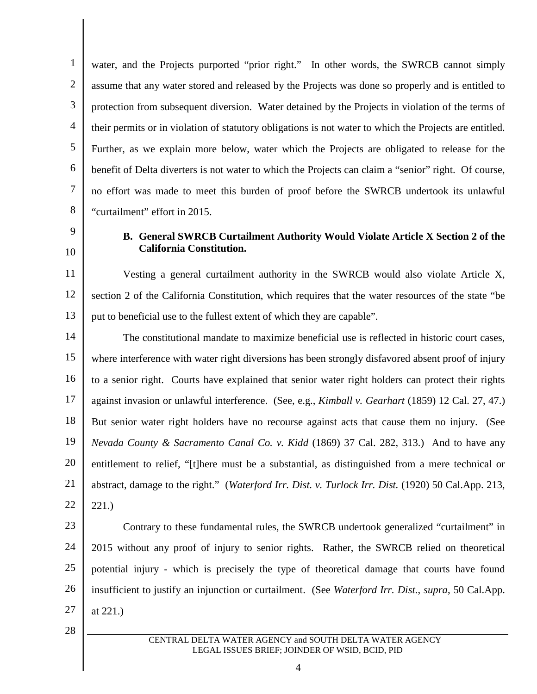1 2 3 4 5 6 7 8 water, and the Projects purported "prior right." In other words, the SWRCB cannot simply assume that any water stored and released by the Projects was done so properly and is entitled to protection from subsequent diversion. Water detained by the Projects in violation of the terms of their permits or in violation of statutory obligations is not water to which the Projects are entitled. Further, as we explain more below, water which the Projects are obligated to release for the benefit of Delta diverters is not water to which the Projects can claim a "senior" right. Of course, no effort was made to meet this burden of proof before the SWRCB undertook its unlawful "curtailment" effort in 2015.

9 10

### **B. General SWRCB Curtailment Authority Would Violate Article X Section 2 of the California Constitution.**

11 12 13 Vesting a general curtailment authority in the SWRCB would also violate Article X, section 2 of the California Constitution, which requires that the water resources of the state "be put to beneficial use to the fullest extent of which they are capable".

14 15 16 17 18 19 20 21 22 The constitutional mandate to maximize beneficial use is reflected in historic court cases, where interference with water right diversions has been strongly disfavored absent proof of injury to a senior right. Courts have explained that senior water right holders can protect their rights against invasion or unlawful interference. (See, e.g., *Kimball v. Gearhart* (1859) 12 Cal. 27, 47.) But senior water right holders have no recourse against acts that cause them no injury. (See *Nevada County & Sacramento Canal Co. v. Kidd* (1869) 37 Cal. 282, 313.) And to have any entitlement to relief, "[t]here must be a substantial, as distinguished from a mere technical or abstract, damage to the right." (*Waterford Irr. Dist. v. Turlock Irr. Dist.* (1920) 50 Cal.App. 213, 221.)

23 24 25 26 27 Contrary to these fundamental rules, the SWRCB undertook generalized "curtailment" in 2015 without any proof of injury to senior rights. Rather, the SWRCB relied on theoretical potential injury - which is precisely the type of theoretical damage that courts have found insufficient to justify an injunction or curtailment. (See *Waterford Irr. Dist.*, *supra*, 50 Cal.App. at 221.)

28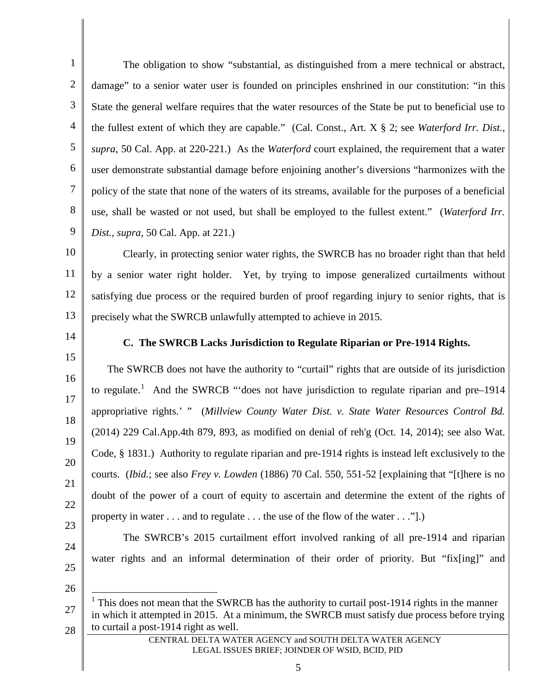1 2 3 4 5 6 7 8 9 The obligation to show "substantial, as distinguished from a mere technical or abstract, damage" to a senior water user is founded on principles enshrined in our constitution: "in this State the general welfare requires that the water resources of the State be put to beneficial use to the fullest extent of which they are capable." (Cal. Const., Art. X § 2; see *Waterford Irr. Dist.*, *supra*, 50 Cal. App. at 220-221.) As the *Waterford* court explained, the requirement that a water user demonstrate substantial damage before enjoining another's diversions "harmonizes with the policy of the state that none of the waters of its streams, available for the purposes of a beneficial use, shall be wasted or not used, but shall be employed to the fullest extent." (*Waterford Irr. Dist.*, *supra*, 50 Cal. App. at 221.)

10 11 12 13 Clearly, in protecting senior water rights, the SWRCB has no broader right than that held by a senior water right holder. Yet, by trying to impose generalized curtailments without satisfying due process or the required burden of proof regarding injury to senior rights, that is precisely what the SWRCB unlawfully attempted to achieve in 2015.

14 15

16

17

18

19

20

21

22

23

24

25

#### **C. The SWRCB Lacks Jurisdiction to Regulate Riparian or Pre-1914 Rights.**

The SWRCB does not have the authority to "curtail" rights that are outside of its jurisdiction to regulate.<sup>[1](#page-10-0)</sup> And the SWRCB "does not have jurisdiction to regulate riparian and pre–1914 appropriative rights.' " (*Millview County Water Dist. v. State Water Resources Control Bd.* (2014) 229 Cal.App.4th 879, 893, as modified on denial of reh'g (Oct. 14, 2014); see also Wat. Code, § 1831.) Authority to regulate riparian and pre-1914 rights is instead left exclusively to the courts. (*Ibid.*; see also *Frey v. Lowden* (1886) 70 Cal. 550, 551-52 [explaining that "[t]here is no doubt of the power of a court of equity to ascertain and determine the extent of the rights of property in water . . . and to regulate . . . the use of the flow of the water . . ."].)

The SWRCB's 2015 curtailment effort involved ranking of all pre-1914 and riparian water rights and an informal determination of their order of priority. But "fix[ing]" and

26

<span id="page-10-0"></span>27

28

CENTRAL DELTA WATER AGENCY and SOUTH DELTA WATER AGENCY LEGAL ISSUES BRIEF; JOINDER OF WSID, BCID, PID

 $1$  This does not mean that the SWRCB has the authority to curtail post-1914 rights in the manner in which it attempted in 2015. At a minimum, the SWRCB must satisfy due process before trying to curtail a post-1914 right as well.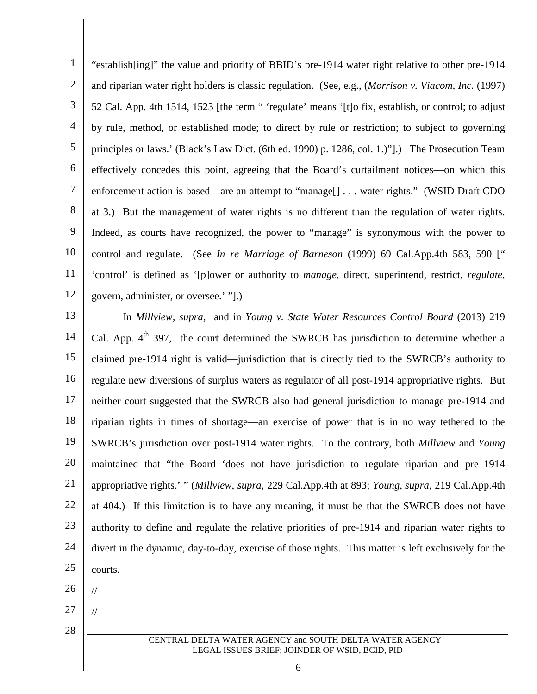1 2 3 4 5 6 7 8 9 10 11 12 "establish[ing]" the value and priority of BBID's pre-1914 water right relative to other pre-1914 and riparian water right holders is classic regulation. (See, e.g., (*Morrison v. Viacom, Inc.* (1997) 52 Cal. App. 4th 1514, 1523 [the term " 'regulate' means '[t]o fix, establish, or control; to adjust by rule, method, or established mode; to direct by rule or restriction; to subject to governing principles or laws.' (Black's Law Dict. (6th ed. 1990) p. 1286, col. 1.)"].) The Prosecution Team effectively concedes this point, agreeing that the Board's curtailment notices—on which this enforcement action is based—are an attempt to "manage[] . . . water rights." (WSID Draft CDO at 3.) But the management of water rights is no different than the regulation of water rights. Indeed, as courts have recognized, the power to "manage" is synonymous with the power to control and regulate. (See *In re Marriage of Barneson* (1999) 69 Cal.App.4th 583, 590 [" 'control' is defined as '[p]ower or authority to *manage*, direct, superintend, restrict, *regulate*, govern, administer, or oversee.' "].)

13 14 15 16 17 18 19 20 21 22 23 24 25 In *Millview, supra,* and in *Young v. State Water Resources Control Board* (2013) 219 Cal. App.  $4<sup>th</sup>$  397, the court determined the SWRCB has jurisdiction to determine whether a claimed pre-1914 right is valid—jurisdiction that is directly tied to the SWRCB's authority to regulate new diversions of surplus waters as regulator of all post-1914 appropriative rights. But neither court suggested that the SWRCB also had general jurisdiction to manage pre-1914 and riparian rights in times of shortage—an exercise of power that is in no way tethered to the SWRCB's jurisdiction over post-1914 water rights. To the contrary, both *Millview* and *Young* maintained that "the Board 'does not have jurisdiction to regulate riparian and pre–1914 appropriative rights.' " (*Millview*, *supra*, 229 Cal.App.4th at 893; *Young*, *supra*, 219 Cal.App.4th at 404.) If this limitation is to have any meaning, it must be that the SWRCB does not have authority to define and regulate the relative priorities of pre-1914 and riparian water rights to divert in the dynamic, day-to-day, exercise of those rights. This matter is left exclusively for the courts.

26

//

//

27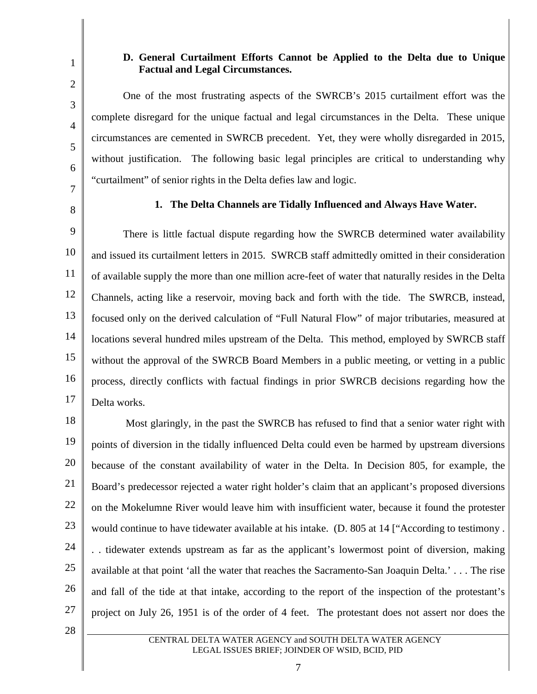# **D. General Curtailment Efforts Cannot be Applied to the Delta due to Unique Factual and Legal Circumstances.**

One of the most frustrating aspects of the SWRCB's 2015 curtailment effort was the complete disregard for the unique factual and legal circumstances in the Delta. These unique circumstances are cemented in SWRCB precedent. Yet, they were wholly disregarded in 2015, without justification. The following basic legal principles are critical to understanding why "curtailment" of senior rights in the Delta defies law and logic.

7 8

1

2

3

4

5

6

#### **1. The Delta Channels are Tidally Influenced and Always Have Water.**

9 10 11 12 13 14 15 16 17 There is little factual dispute regarding how the SWRCB determined water availability and issued its curtailment letters in 2015. SWRCB staff admittedly omitted in their consideration of available supply the more than one million acre-feet of water that naturally resides in the Delta Channels, acting like a reservoir, moving back and forth with the tide. The SWRCB, instead, focused only on the derived calculation of "Full Natural Flow" of major tributaries, measured at locations several hundred miles upstream of the Delta. This method, employed by SWRCB staff without the approval of the SWRCB Board Members in a public meeting, or vetting in a public process, directly conflicts with factual findings in prior SWRCB decisions regarding how the Delta works.

18 19 20 21 22 23 24 25 26 27 Most glaringly, in the past the SWRCB has refused to find that a senior water right with points of diversion in the tidally influenced Delta could even be harmed by upstream diversions because of the constant availability of water in the Delta. In Decision 805, for example, the Board's predecessor rejected a water right holder's claim that an applicant's proposed diversions on the Mokelumne River would leave him with insufficient water, because it found the protester would continue to have tidewater available at his intake. (D. 805 at 14 ["According to testimony . . . tidewater extends upstream as far as the applicant's lowermost point of diversion, making available at that point 'all the water that reaches the Sacramento-San Joaquin Delta.' . . . The rise and fall of the tide at that intake, according to the report of the inspection of the protestant's project on July 26, 1951 is of the order of 4 feet. The protestant does not assert nor does the

28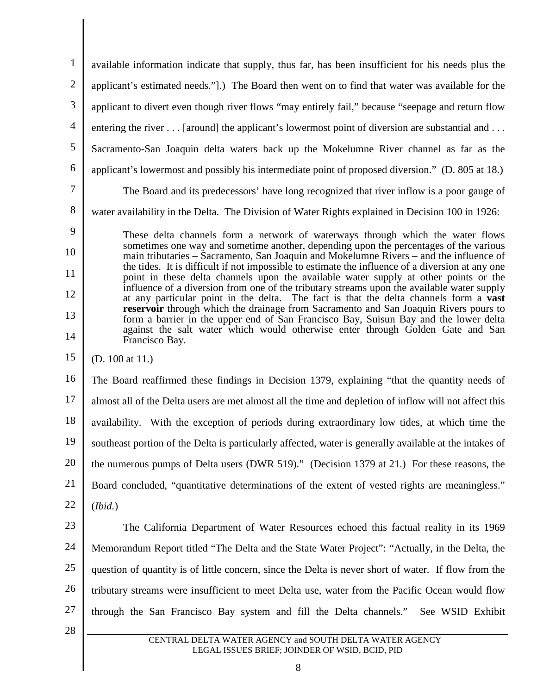1 2 3 4 5 6 7 8 9 10 11 12 13 14 15 16 17 18 19 20 21 22 23 24 25 26 27 28 CENTRAL DELTA WATER AGENCY and SOUTH DELTA WATER AGENCY LEGAL ISSUES BRIEF; JOINDER OF WSID, BCID, PID available information indicate that supply, thus far, has been insufficient for his needs plus the applicant's estimated needs."].) The Board then went on to find that water was available for the applicant to divert even though river flows "may entirely fail," because "seepage and return flow entering the river . . . [around] the applicant's lowermost point of diversion are substantial and . . . Sacramento-San Joaquin delta waters back up the Mokelumne River channel as far as the applicant's lowermost and possibly his intermediate point of proposed diversion." (D. 805 at 18.) The Board and its predecessors' have long recognized that river inflow is a poor gauge of water availability in the Delta. The Division of Water Rights explained in Decision 100 in 1926: These delta channels form a network of waterways through which the water flows sometimes one way and sometime another, depending upon the percentages of the various main tributaries – Sacramento, San Joaquin and Mokelumne Rivers – and the influence of the tides. It is difficult if not impossible to estimate the influence of a diversion at any one point in these delta channels upon the available water supply at other points or the influence of a diversion from one of the tributary streams upon the available water supply at any particular point in the delta. The fact is that the delta channels form a **vast reservoir** through which the drainage from Sacramento and San Joaquin Rivers pours to form a barrier in the upper end of San Francisco Bay, Suisun Bay and the lower delta against the salt water which would otherwise enter through Golden Gate and San Francisco Bay. (D. 100 at 11.) The Board reaffirmed these findings in Decision 1379, explaining "that the quantity needs of almost all of the Delta users are met almost all the time and depletion of inflow will not affect this availability. With the exception of periods during extraordinary low tides, at which time the southeast portion of the Delta is particularly affected, water is generally available at the intakes of the numerous pumps of Delta users (DWR 519)." (Decision 1379 at 21.) For these reasons, the Board concluded, "quantitative determinations of the extent of vested rights are meaningless." (*Ibid.*) The California Department of Water Resources echoed this factual reality in its 1969 Memorandum Report titled "The Delta and the State Water Project": "Actually, in the Delta, the question of quantity is of little concern, since the Delta is never short of water. If flow from the tributary streams were insufficient to meet Delta use, water from the Pacific Ocean would flow through the San Francisco Bay system and fill the Delta channels." See WSID Exhibit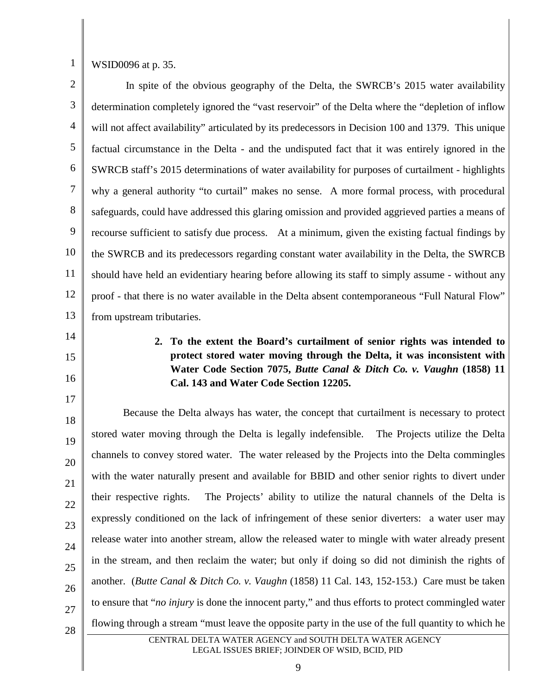1

WSID0096 at p. 35.

2 3 4 5 6 7 8 9 10 11 12 13 In spite of the obvious geography of the Delta, the SWRCB's 2015 water availability determination completely ignored the "vast reservoir" of the Delta where the "depletion of inflow will not affect availability" articulated by its predecessors in Decision 100 and 1379. This unique factual circumstance in the Delta - and the undisputed fact that it was entirely ignored in the SWRCB staff's 2015 determinations of water availability for purposes of curtailment - highlights why a general authority "to curtail" makes no sense. A more formal process, with procedural safeguards, could have addressed this glaring omission and provided aggrieved parties a means of recourse sufficient to satisfy due process. At a minimum, given the existing factual findings by the SWRCB and its predecessors regarding constant water availability in the Delta, the SWRCB should have held an evidentiary hearing before allowing its staff to simply assume - without any proof - that there is no water available in the Delta absent contemporaneous "Full Natural Flow" from upstream tributaries.

- 14
- 15

16

17

**2. To the extent the Board's curtailment of senior rights was intended to protect stored water moving through the Delta, it was inconsistent with Water Code Section 7075,** *Butte Canal & Ditch Co. v. Vaughn* **(1858) 11 Cal. 143 and Water Code Section 12205.**

18 19 20 21 22 23 24 25 26 27 28 Because the Delta always has water, the concept that curtailment is necessary to protect stored water moving through the Delta is legally indefensible. The Projects utilize the Delta channels to convey stored water. The water released by the Projects into the Delta commingles with the water naturally present and available for BBID and other senior rights to divert under their respective rights. The Projects' ability to utilize the natural channels of the Delta is expressly conditioned on the lack of infringement of these senior diverters: a water user may release water into another stream, allow the released water to mingle with water already present in the stream, and then reclaim the water; but only if doing so did not diminish the rights of another. (*Butte Canal & Ditch Co. v. Vaughn* (1858) 11 Cal. 143, 152-153.) Care must be taken to ensure that "*no injury* is done the innocent party," and thus efforts to protect commingled water flowing through a stream "must leave the opposite party in the use of the full quantity to which he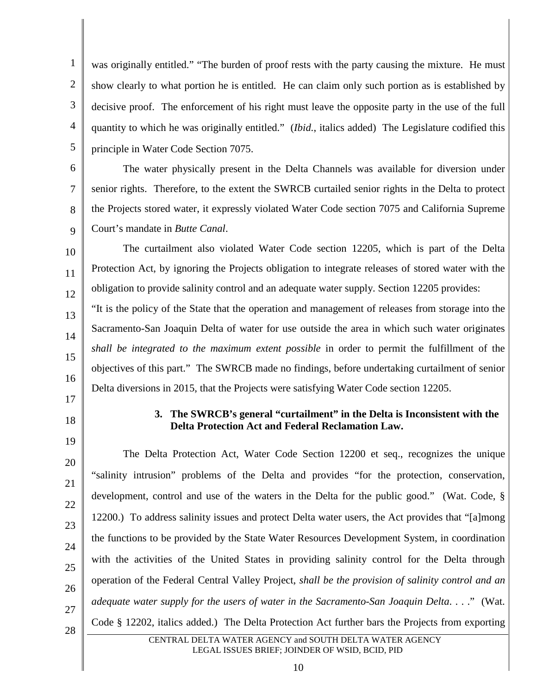1 2 3 4 5 was originally entitled." "The burden of proof rests with the party causing the mixture. He must show clearly to what portion he is entitled. He can claim only such portion as is established by decisive proof. The enforcement of his right must leave the opposite party in the use of the full quantity to which he was originally entitled." (*Ibid.*, italics added) The Legislature codified this principle in Water Code Section 7075.

The water physically present in the Delta Channels was available for diversion under senior rights. Therefore, to the extent the SWRCB curtailed senior rights in the Delta to protect the Projects stored water, it expressly violated Water Code section 7075 and California Supreme Court's mandate in *Butte Canal*.

10 11 12 The curtailment also violated Water Code section 12205, which is part of the Delta Protection Act, by ignoring the Projects obligation to integrate releases of stored water with the obligation to provide salinity control and an adequate water supply. Section 12205 provides:

"It is the policy of the State that the operation and management of releases from storage into the Sacramento-San Joaquin Delta of water for use outside the area in which such water originates *shall be integrated to the maximum extent possible* in order to permit the fulfillment of the objectives of this part." The SWRCB made no findings, before undertaking curtailment of senior Delta diversions in 2015, that the Projects were satisfying Water Code section 12205.

17 18

19

6

7

8

9

13

14

15

16

# **3. The SWRCB's general "curtailment" in the Delta is Inconsistent with the Delta Protection Act and Federal Reclamation Law.**

20 21 22 23 24 25 26 27 28 The Delta Protection Act, Water Code Section 12200 et seq., recognizes the unique "salinity intrusion" problems of the Delta and provides "for the protection, conservation, development, control and use of the waters in the Delta for the public good." (Wat. Code, § 12200.) To address salinity issues and protect Delta water users, the Act provides that "[a]mong the functions to be provided by the State Water Resources Development System, in coordination with the activities of the United States in providing salinity control for the Delta through operation of the Federal Central Valley Project, *shall be the provision of salinity control and an adequate water supply for the users of water in the Sacramento-San Joaquin Delta*. . . ." (Wat. Code § 12202, italics added.) The Delta Protection Act further bars the Projects from exporting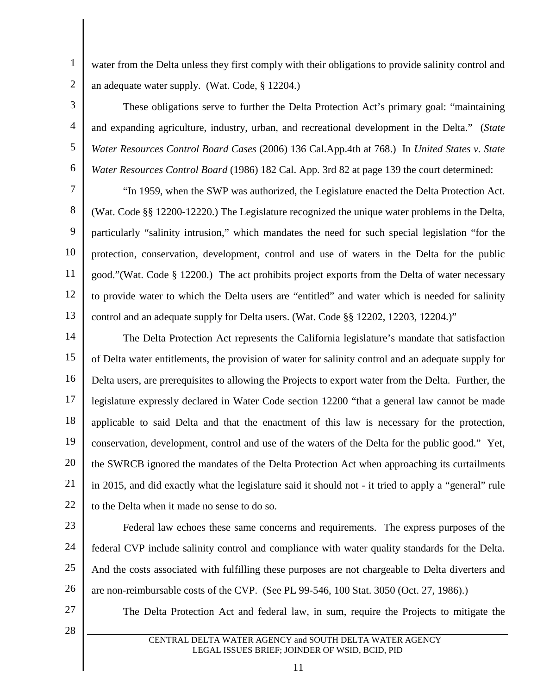water from the Delta unless they first comply with their obligations to provide salinity control and an adequate water supply. (Wat. Code, § 12204.)

These obligations serve to further the Delta Protection Act's primary goal: "maintaining and expanding agriculture, industry, urban, and recreational development in the Delta." (*State Water Resources Control Board Cases* (2006) 136 Cal.App.4th at 768.) In *United States v. State Water Resources Control Board* (1986) 182 Cal. App. 3rd 82 at page 139 the court determined:

7 8 9 10 11 12 13 "In 1959, when the SWP was authorized, the Legislature enacted the Delta Protection Act. (Wat. Code §§ 12200-12220.) The Legislature recognized the unique water problems in the Delta, particularly "salinity intrusion," which mandates the need for such special legislation "for the protection, conservation, development, control and use of waters in the Delta for the public good."(Wat. Code § 12200.) The act prohibits project exports from the Delta of water necessary to provide water to which the Delta users are "entitled" and water which is needed for salinity control and an adequate supply for Delta users. (Wat. Code §§ 12202, 12203, 12204.)"

14 15 16 17 18 19 20 21 22 The Delta Protection Act represents the California legislature's mandate that satisfaction of Delta water entitlements, the provision of water for salinity control and an adequate supply for Delta users, are prerequisites to allowing the Projects to export water from the Delta. Further, the legislature expressly declared in Water Code section 12200 "that a general law cannot be made applicable to said Delta and that the enactment of this law is necessary for the protection, conservation, development, control and use of the waters of the Delta for the public good." Yet, the SWRCB ignored the mandates of the Delta Protection Act when approaching its curtailments in 2015, and did exactly what the legislature said it should not - it tried to apply a "general" rule to the Delta when it made no sense to do so.

23

1

2

3

4

5

6

24 25 26 Federal law echoes these same concerns and requirements. The express purposes of the federal CVP include salinity control and compliance with water quality standards for the Delta. And the costs associated with fulfilling these purposes are not chargeable to Delta diverters and are non-reimbursable costs of the CVP. (See PL 99-546, 100 Stat. 3050 (Oct. 27, 1986).)

27

28

The Delta Protection Act and federal law, in sum, require the Projects to mitigate the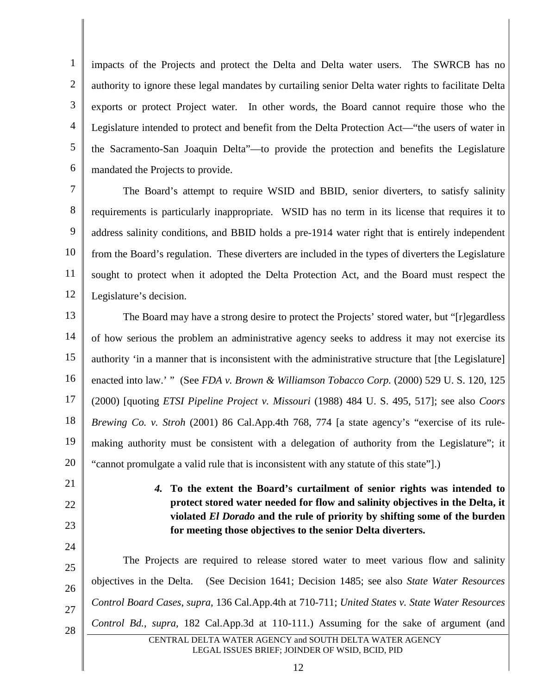1 2 3 4 5 6 impacts of the Projects and protect the Delta and Delta water users. The SWRCB has no authority to ignore these legal mandates by curtailing senior Delta water rights to facilitate Delta exports or protect Project water. In other words, the Board cannot require those who the Legislature intended to protect and benefit from the Delta Protection Act—"the users of water in the Sacramento-San Joaquin Delta"—to provide the protection and benefits the Legislature mandated the Projects to provide.

7 8 9 10 11 12 The Board's attempt to require WSID and BBID, senior diverters, to satisfy salinity requirements is particularly inappropriate. WSID has no term in its license that requires it to address salinity conditions, and BBID holds a pre-1914 water right that is entirely independent from the Board's regulation. These diverters are included in the types of diverters the Legislature sought to protect when it adopted the Delta Protection Act, and the Board must respect the Legislature's decision.

13 14 15 16 17 18 19 20 The Board may have a strong desire to protect the Projects' stored water, but "[r]egardless of how serious the problem an administrative agency seeks to address it may not exercise its authority 'in a manner that is inconsistent with the administrative structure that [the Legislature] enacted into law.' " (See *FDA v. Brown & Williamson Tobacco Corp.* (2000) 529 U. S. 120, 125 (2000) [quoting *ETSI Pipeline Project v. Missouri* (1988) 484 U. S. 495, 517]; see also *Coors Brewing Co. v. Stroh* (2001) 86 Cal.App.4th 768, 774 [a state agency's "exercise of its rulemaking authority must be consistent with a delegation of authority from the Legislature"; it "cannot promulgate a valid rule that is inconsistent with any statute of this state"].)

21

22

23

24

*4.* **To the extent the Board's curtailment of senior rights was intended to protect stored water needed for flow and salinity objectives in the Delta, it violated** *El Dorado* **and the rule of priority by shifting some of the burden for meeting those objectives to the senior Delta diverters.**

25 26 27 28 CENTRAL DELTA WATER AGENCY and SOUTH DELTA WATER AGENCY The Projects are required to release stored water to meet various flow and salinity objectives in the Delta. (See Decision 1641; Decision 1485; see also *State Water Resources Control Board Cases*, *supra,* 136 Cal.App.4th at 710-711; *United States v. State Water Resources Control Bd.*, *supra,* 182 Cal.App.3d at 110-111.) Assuming for the sake of argument (and

LEGAL ISSUES BRIEF; JOINDER OF WSID, BCID, PID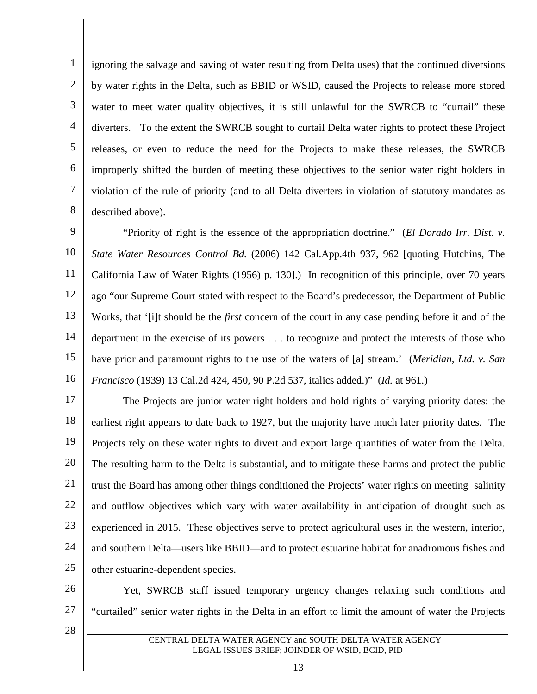1 2 3 4 5 6 7 8 ignoring the salvage and saving of water resulting from Delta uses) that the continued diversions by water rights in the Delta, such as BBID or WSID, caused the Projects to release more stored water to meet water quality objectives, it is still unlawful for the SWRCB to "curtail" these diverters. To the extent the SWRCB sought to curtail Delta water rights to protect these Project releases, or even to reduce the need for the Projects to make these releases, the SWRCB improperly shifted the burden of meeting these objectives to the senior water right holders in violation of the rule of priority (and to all Delta diverters in violation of statutory mandates as described above).

9 10 11 12 13 14 15 16 "Priority of right is the essence of the appropriation doctrine." (*El Dorado Irr. Dist. v. State Water Resources Control Bd.* (2006) 142 Cal.App.4th 937, 962 [quoting Hutchins, The California Law of Water Rights (1956) p. 130].) In recognition of this principle, over 70 years ago "our Supreme Court stated with respect to the Board's predecessor, the Department of Public Works, that '[i]t should be the *first* concern of the court in any case pending before it and of the department in the exercise of its powers . . . to recognize and protect the interests of those who have prior and paramount rights to the use of the waters of [a] stream.' (*Meridian, Ltd. v. San Francisco* (1939) 13 Cal.2d 424, 450, 90 P.2d 537, italics added.)" (*Id.* at 961.)

17 18 19 20 21 22 23 24 25 The Projects are junior water right holders and hold rights of varying priority dates: the earliest right appears to date back to 1927, but the majority have much later priority dates. The Projects rely on these water rights to divert and export large quantities of water from the Delta. The resulting harm to the Delta is substantial, and to mitigate these harms and protect the public trust the Board has among other things conditioned the Projects' water rights on meeting salinity and outflow objectives which vary with water availability in anticipation of drought such as experienced in 2015. These objectives serve to protect agricultural uses in the western, interior, and southern Delta—users like BBID—and to protect estuarine habitat for anadromous fishes and other estuarine-dependent species.

26 27 Yet, SWRCB staff issued temporary urgency changes relaxing such conditions and "curtailed" senior water rights in the Delta in an effort to limit the amount of water the Projects

28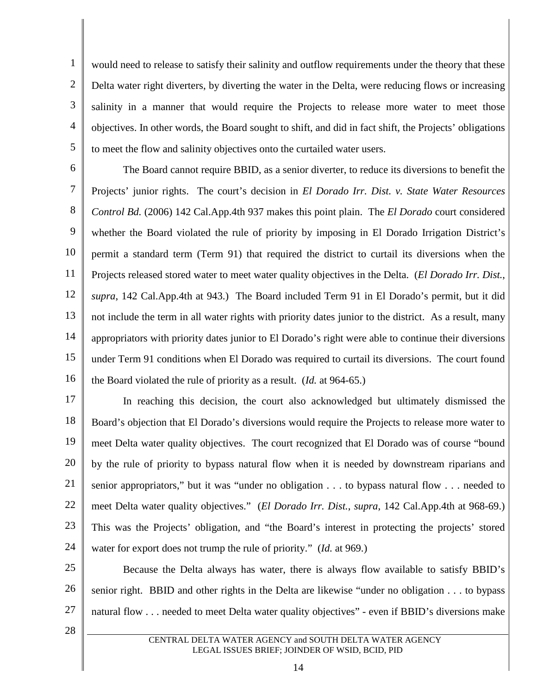1 2 3 4 5 would need to release to satisfy their salinity and outflow requirements under the theory that these Delta water right diverters, by diverting the water in the Delta, were reducing flows or increasing salinity in a manner that would require the Projects to release more water to meet those objectives. In other words, the Board sought to shift, and did in fact shift, the Projects' obligations to meet the flow and salinity objectives onto the curtailed water users.

6 7 8 9 10 11 12 13 14 15 16 The Board cannot require BBID, as a senior diverter, to reduce its diversions to benefit the Projects' junior rights. The court's decision in *El Dorado Irr. Dist. v. State Water Resources Control Bd.* (2006) 142 Cal.App.4th 937 makes this point plain. The *El Dorado* court considered whether the Board violated the rule of priority by imposing in El Dorado Irrigation District's permit a standard term (Term 91) that required the district to curtail its diversions when the Projects released stored water to meet water quality objectives in the Delta. (*El Dorado Irr. Dist.*, *supra*, 142 Cal.App.4th at 943.) The Board included Term 91 in El Dorado's permit, but it did not include the term in all water rights with priority dates junior to the district. As a result, many appropriators with priority dates junior to El Dorado's right were able to continue their diversions under Term 91 conditions when El Dorado was required to curtail its diversions. The court found the Board violated the rule of priority as a result. (*Id.* at 964-65.)

17 18 19 20 21 22 23 24 In reaching this decision, the court also acknowledged but ultimately dismissed the Board's objection that El Dorado's diversions would require the Projects to release more water to meet Delta water quality objectives. The court recognized that El Dorado was of course "bound by the rule of priority to bypass natural flow when it is needed by downstream riparians and senior appropriators," but it was "under no obligation . . . to bypass natural flow . . . needed to meet Delta water quality objectives." (*El Dorado Irr. Dist.*, *supra*, 142 Cal.App.4th at 968-69.) This was the Projects' obligation, and "the Board's interest in protecting the projects' stored water for export does not trump the rule of priority." (*Id.* at 969.)

25 26 27 Because the Delta always has water, there is always flow available to satisfy BBID's senior right. BBID and other rights in the Delta are likewise "under no obligation . . . to bypass natural flow . . . needed to meet Delta water quality objectives" - even if BBID's diversions make

28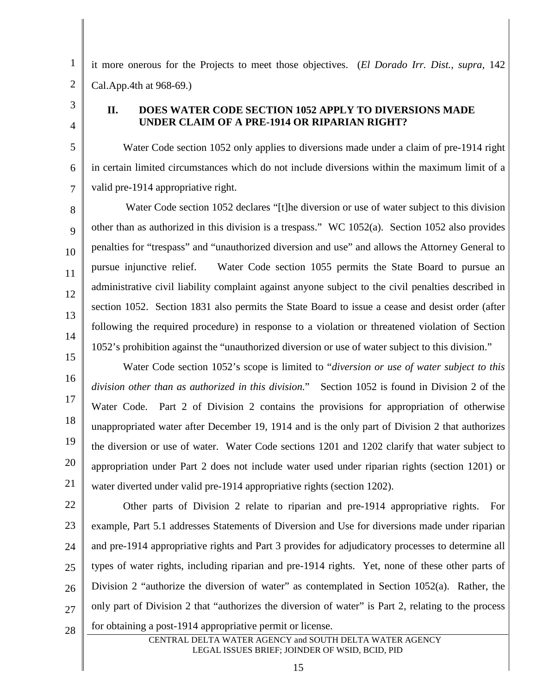1

2 3

5

6

7

8

9

10

11

12

13

14

4

Cal.App.4th at 968-69.)

# **II. DOES WATER CODE SECTION 1052 APPLY TO DIVERSIONS MADE UNDER CLAIM OF A PRE-1914 OR RIPARIAN RIGHT?**

it more onerous for the Projects to meet those objectives. (*El Dorado Irr. Dist.*, *supra*, 142

Water Code section 1052 only applies to diversions made under a claim of pre-1914 right in certain limited circumstances which do not include diversions within the maximum limit of a valid pre-1914 appropriative right.

Water Code section 1052 declares "[t]he diversion or use of water subject to this division other than as authorized in this division is a trespass." WC 1052(a). Section 1052 also provides penalties for "trespass" and "unauthorized diversion and use" and allows the Attorney General to pursue injunctive relief. Water Code section 1055 permits the State Board to pursue an administrative civil liability complaint against anyone subject to the civil penalties described in section 1052. Section 1831 also permits the State Board to issue a cease and desist order (after following the required procedure) in response to a violation or threatened violation of Section 1052's prohibition against the "unauthorized diversion or use of water subject to this division."

15 16 17 18 19 20 21 Water Code section 1052's scope is limited to "*diversion or use of water subject to this division other than as authorized in this division*." Section 1052 is found in Division 2 of the Water Code. Part 2 of Division 2 contains the provisions for appropriation of otherwise unappropriated water after December 19, 1914 and is the only part of Division 2 that authorizes the diversion or use of water. Water Code sections 1201 and 1202 clarify that water subject to appropriation under Part 2 does not include water used under riparian rights (section 1201) or water diverted under valid pre-1914 appropriative rights (section 1202).

22 23 24 25 26 27 28 Other parts of Division 2 relate to riparian and pre-1914 appropriative rights. For example, Part 5.1 addresses Statements of Diversion and Use for diversions made under riparian and pre-1914 appropriative rights and Part 3 provides for adjudicatory processes to determine all types of water rights, including riparian and pre-1914 rights. Yet, none of these other parts of Division 2 "authorize the diversion of water" as contemplated in Section 1052(a). Rather, the only part of Division 2 that "authorizes the diversion of water" is Part 2, relating to the process for obtaining a post-1914 appropriative permit or license.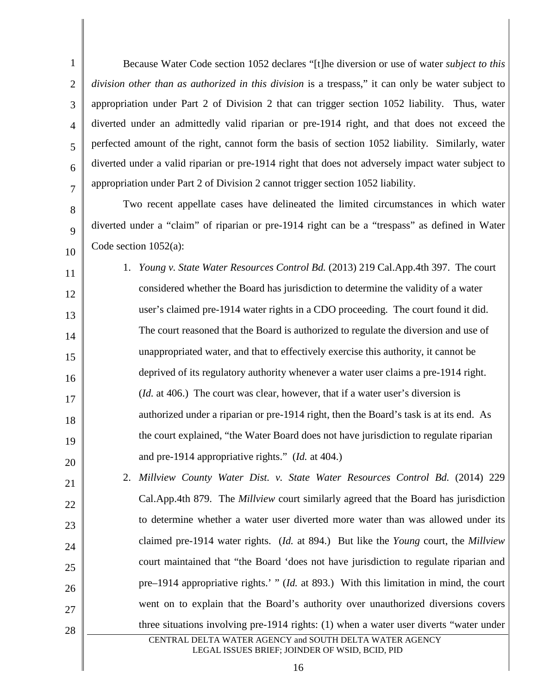1 2 3 4 5 6 7 Because Water Code section 1052 declares "[t]he diversion or use of water *subject to this division other than as authorized in this division* is a trespass," it can only be water subject to appropriation under Part 2 of Division 2 that can trigger section 1052 liability. Thus, water diverted under an admittedly valid riparian or pre-1914 right, and that does not exceed the perfected amount of the right, cannot form the basis of section 1052 liability. Similarly, water diverted under a valid riparian or pre-1914 right that does not adversely impact water subject to appropriation under Part 2 of Division 2 cannot trigger section 1052 liability.

8

9

10

11

12

13

14

15

16

17

18

19

20

Two recent appellate cases have delineated the limited circumstances in which water diverted under a "claim" of riparian or pre-1914 right can be a "trespass" as defined in Water Code section 1052(a):

1. *Young v. State Water Resources Control Bd.* (2013) 219 Cal.App.4th 397. The court considered whether the Board has jurisdiction to determine the validity of a water user's claimed pre-1914 water rights in a CDO proceeding. The court found it did. The court reasoned that the Board is authorized to regulate the diversion and use of unappropriated water, and that to effectively exercise this authority, it cannot be deprived of its regulatory authority whenever a water user claims a pre-1914 right. (*Id.* at 406.) The court was clear, however, that if a water user's diversion is authorized under a riparian or pre-1914 right, then the Board's task is at its end. As the court explained, "the Water Board does not have jurisdiction to regulate riparian and pre-1914 appropriative rights." (*Id.* at 404.)

21 22 23 24 25 26 27 28 CENTRAL DELTA WATER AGENCY and SOUTH DELTA WATER AGENCY 2. *Millview County Water Dist. v. State Water Resources Control Bd.* (2014) 229 Cal.App.4th 879. The *Millview* court similarly agreed that the Board has jurisdiction to determine whether a water user diverted more water than was allowed under its claimed pre-1914 water rights. (*Id.* at 894.) But like the *Young* court, the *Millview* court maintained that "the Board 'does not have jurisdiction to regulate riparian and pre–1914 appropriative rights.' " (*Id.* at 893.) With this limitation in mind, the court went on to explain that the Board's authority over unauthorized diversions covers three situations involving pre-1914 rights: (1) when a water user diverts "water under

# LEGAL ISSUES BRIEF; JOINDER OF WSID, BCID, PID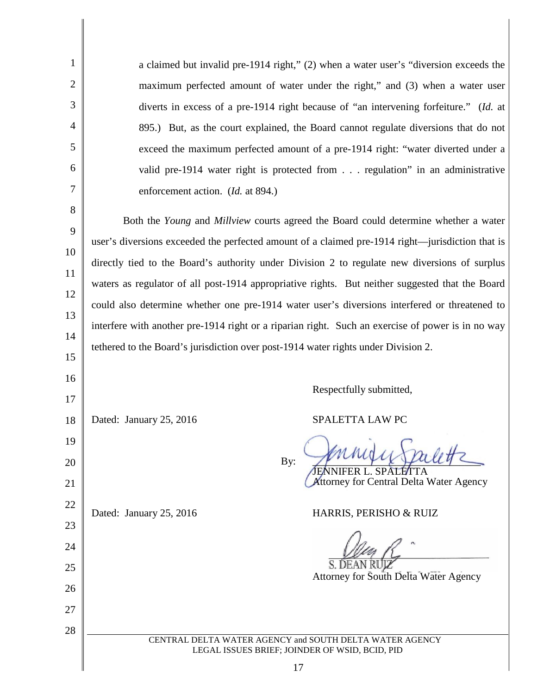| $\mathbf{1}$   | a claimed but invalid pre-1914 right," (2) when a water user's "diversion exceeds the                     |
|----------------|-----------------------------------------------------------------------------------------------------------|
| $\overline{2}$ | maximum perfected amount of water under the right," and (3) when a water user                             |
| 3              | diverts in excess of a pre-1914 right because of "an intervening forfeiture." (Id. at                     |
| $\overline{4}$ | 895.) But, as the court explained, the Board cannot regulate diversions that do not                       |
| 5              | exceed the maximum perfected amount of a pre-1914 right: "water diverted under a                          |
| 6              | valid pre-1914 water right is protected from regulation" in an administrative                             |
| 7              | enforcement action. (Id. at 894.)                                                                         |
| 8              |                                                                                                           |
| 9              | Both the Young and Millview courts agreed the Board could determine whether a water                       |
| 10             | user's diversions exceeded the perfected amount of a claimed pre-1914 right—jurisdiction that is          |
| 11             | directly tied to the Board's authority under Division 2 to regulate new diversions of surplus             |
| 12             | waters as regulator of all post-1914 appropriative rights. But neither suggested that the Board           |
| 13             | could also determine whether one pre-1914 water user's diversions interfered or threatened to             |
| 14             | interfere with another pre-1914 right or a riparian right. Such an exercise of power is in no way         |
| 15             | tethered to the Board's jurisdiction over post-1914 water rights under Division 2.                        |
|                |                                                                                                           |
| 16             | Respectfully submitted,                                                                                   |
| 17             |                                                                                                           |
| 18             | SPALETTA LAW PC<br>Dated: January 25, 2016                                                                |
| 19             |                                                                                                           |
| 20             | By:<br>. SPALETTA                                                                                         |
| 21             | Attorney for Central Delta Water Agency                                                                   |
| 22             | Dated: January 25, 2016<br>HARRIS, PERISHO & RUIZ                                                         |
| 23             |                                                                                                           |
| 24             |                                                                                                           |
| 25             |                                                                                                           |
| 26             | Attorney for South Delta Water Agency                                                                     |
| 27             |                                                                                                           |
| 28             |                                                                                                           |
|                | CENTRAL DELTA WATER AGENCY and SOUTH DELTA WATER AGENCY<br>LEGAL ISSUES BRIEF; JOINDER OF WSID, BCID, PID |
|                | 17                                                                                                        |